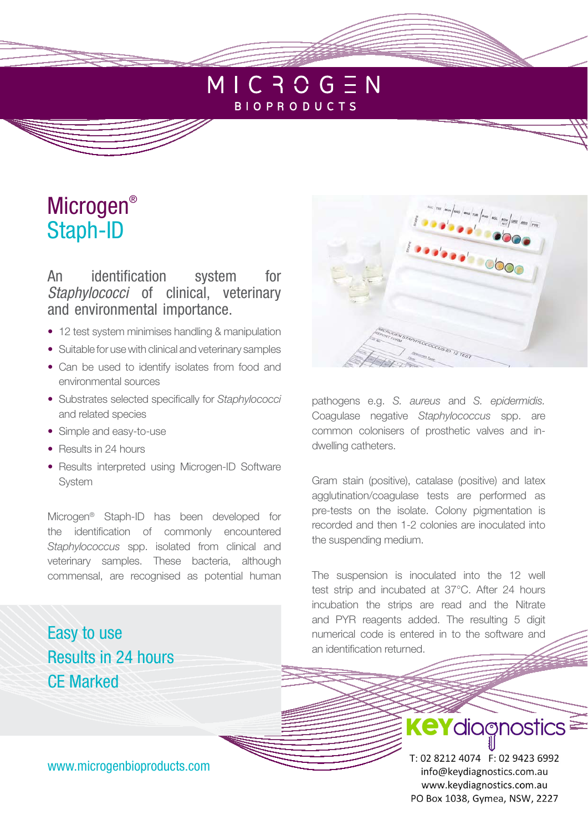## $MIC 3O G EN$ **BIOPRODUCTS**

# Microgen® Staph-ID

An identification system for Staphylococci of clinical, veterinary and environmental importance.

- 12 test system minimises handling & manipulation
- Suitable for use with clinical and veterinary samples
- Can be used to identify isolates from food and environmental sources
- Substrates selected specifically for *Staphylococci*  and related species
- Simple and easy-to-use
- Results in 24 hours
- Results interpreted using Microgen-ID Software System

Microgen® Staph-ID has been developed for the identification of commonly encountered *Staphylococcus* spp. isolated from clinical and veterinary samples. These bacteria, although commensal, are recognised as potential human

Easy to use Results in 24 hours CE Marked



the suspending medium.

The suspension is inoculated into the 12 well test strip and incubated at 37°C. After 24 hours incubation the strips are read and the Nitrate and PYR reagents added. The resulting 5 digit numerical code is entered in to the software and an identification returned.

pre-tests on the isolate. Colony pigmentation is recorded and then 1-2 colonies are inoculated into

APITTLOCOCCUS ID 12 TEST

www.microgenbioproducts.com

T: 02 8212 4074 F: 02 9423 6992 info@keydiagnostics.com.au www.keydiagnostics.com.au PO Box 1038, Gymea, NSW, 2227

**KeY**diagnostics